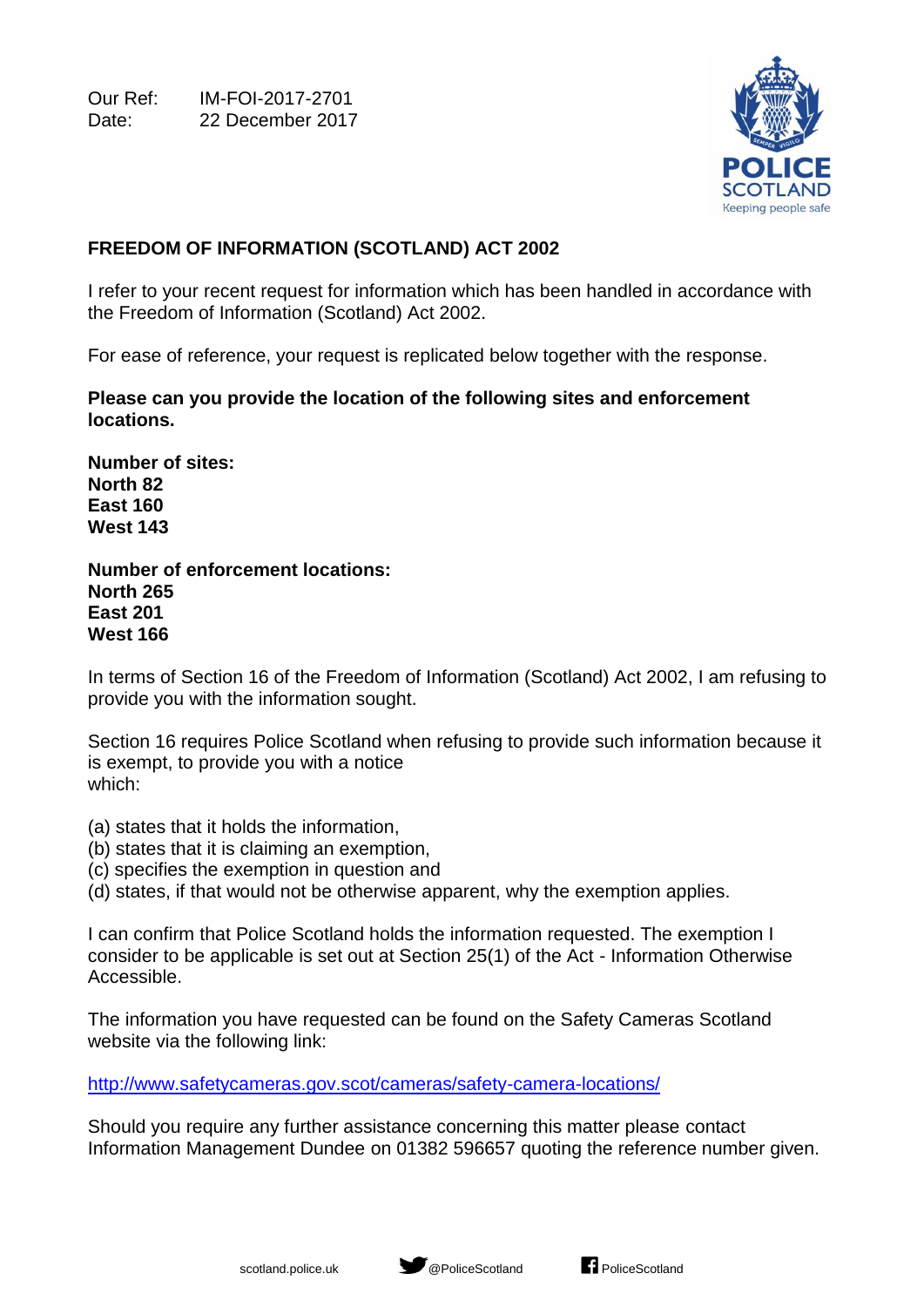Our Ref: IM-FOI-2017-2701 Date: 22 December 2017



## **FREEDOM OF INFORMATION (SCOTLAND) ACT 2002**

I refer to your recent request for information which has been handled in accordance with the Freedom of Information (Scotland) Act 2002.

For ease of reference, your request is replicated below together with the response.

**Please can you provide the location of the following sites and enforcement locations.**

**Number of sites: North 82 East 160 West 143** 

**Number of enforcement locations: North 265 East 201 West 166**

In terms of Section 16 of the Freedom of Information (Scotland) Act 2002, I am refusing to provide you with the information sought.

Section 16 requires Police Scotland when refusing to provide such information because it is exempt, to provide you with a notice which:

- (a) states that it holds the information,
- (b) states that it is claiming an exemption,
- (c) specifies the exemption in question and
- (d) states, if that would not be otherwise apparent, why the exemption applies.

I can confirm that Police Scotland holds the information requested. The exemption I consider to be applicable is set out at Section 25(1) of the Act - Information Otherwise Accessible.

The information you have requested can be found on the Safety Cameras Scotland website via the following link:

<http://www.safetycameras.gov.scot/cameras/safety-camera-locations/>

Should you require any further assistance concerning this matter please contact Information Management Dundee on 01382 596657 quoting the reference number given.